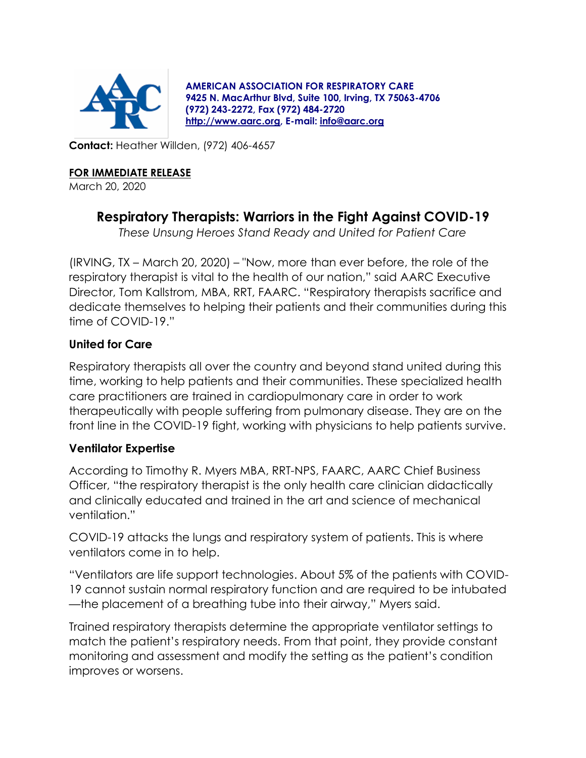

**AMERICAN ASSOCIATION FOR RESPIRATORY CARE 9425 N. MacArthur Blvd, Suite 100, Irving, TX 75063-4706 (972) 243-2272, Fax (972) 484-2720 [http://www.aarc.org,](http://www.aarc.org/) E-mail: [info@aarc.org](mailto:info@aarc.org)**

**Contact:** Heather Willden, (972) 406-4657

#### **FOR IMMEDIATE RELEASE**

March 20, 2020

# **Respiratory Therapists: Warriors in the Fight Against COVID-19**

*These Unsung Heroes Stand Ready and United for Patient Care*

(IRVING, TX – March 20, 2020) – "Now, more than ever before, the role of the respiratory therapist is vital to the health of our nation," said AARC Executive Director, Tom Kallstrom, MBA, RRT, FAARC. "Respiratory therapists sacrifice and dedicate themselves to helping their patients and their communities during this time of COVID-19."

## **United for Care**

Respiratory therapists all over the country and beyond stand united during this time, working to help patients and their communities. These specialized health care practitioners are trained in cardiopulmonary care in order to work therapeutically with people suffering from pulmonary disease. They are on the front line in the COVID-19 fight, working with physicians to help patients survive.

## **Ventilator Expertise**

According to Timothy R. Myers MBA, RRT-NPS, FAARC, AARC Chief Business Officer, "the respiratory therapist is the only health care clinician didactically and clinically educated and trained in the art and science of mechanical ventilation."

COVID-19 attacks the lungs and respiratory system of patients. This is where ventilators come in to help.

"Ventilators are life support technologies. About 5% of the patients with COVID-19 cannot sustain normal respiratory function and are required to be intubated —the placement of a breathing tube into their airway," Myers said.

Trained respiratory therapists determine the appropriate ventilator settings to match the patient's respiratory needs. From that point, they provide constant monitoring and assessment and modify the setting as the patient's condition improves or worsens.